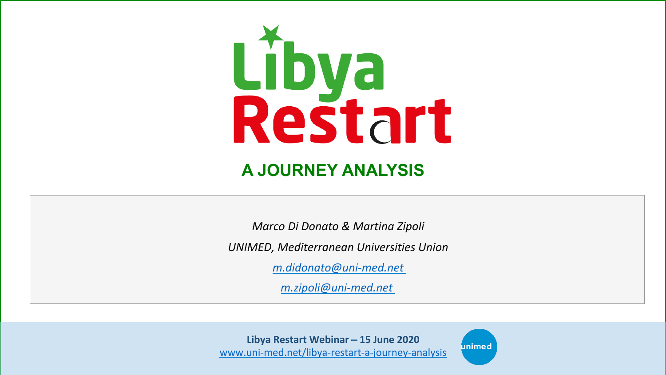

## **A JOURNEY ANALYSIS**

*Marco Di Donato & Martina Zipoli*

*UNIMED, Mediterranean Universities Union* 

*m.didonato@uni-med.net*

*m.zipoli@uni-med.net*

Libya Restart Webinar - 15 June 2020 www.uni-med.net/libya-restart-a-journey-analysis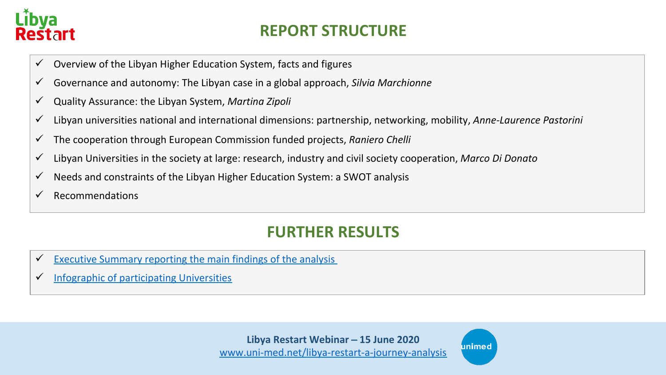

### **REPORT STRUCTURE**

- $\checkmark$  Overview of the Libyan Higher Education System, facts and figures
- $\checkmark$  Governance and autonomy: The Libyan case in a global approach, *Silvia Marchionne*
- ü Quality Assurance: the Libyan System, *Martina Zipoli*
- ü Libyan universities national and international dimensions: partnership, networking, mobility, *Anne-Laurence Pastorini*
- ü The cooperation through European Commission funded projects, *Raniero Chelli*
- $\checkmark$  Libyan Universities in the society at large: research, industry and civil society cooperation, *Marco Di Donato*
- $\checkmark$  Needs and constraints of the Libyan Higher Education System: a SWOT analysis
- $\checkmark$  Recommendations

## **FURTHER RESULTS**

- $\checkmark$  Executive Summary reporting the main findings of the analysis
- $\checkmark$  Infographic of participating Universities

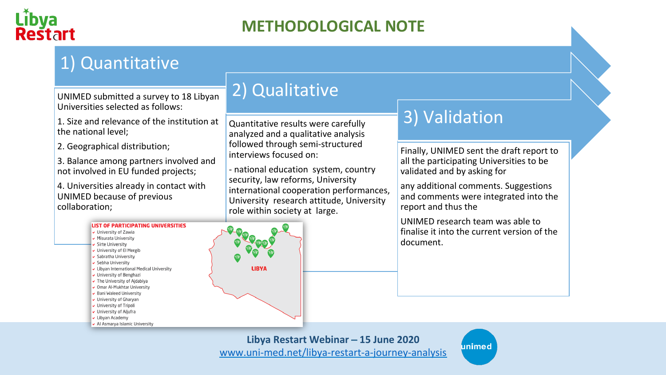

## **METHODOLOGICAL NOTE**

## 1) Quantitative

UNIMED submitted a survey to 18 Libyan Universities selected as follows:

1. Size and relevance of the institution at the national level:

2. Geographical distribution;

3. Balance among partners involved and not involved in EU funded projects;

4. Universities already in contact with UNIMED because of previous collaboration;



Quantitative results were carefully analyzed and a qualitative analysis followed through semi-structured interviews focused on:

- national education system, country security, law reforms, University international cooperation performances, University research attitude, University role within society at large.

## 3) Validation

Finally, UNIMED sent the draft report to all the participating Universities to be validated and by asking for

any additional comments. Suggestions and comments were integrated into the report and thus the

UNIMED research team was able to finalise it into the current version of the document.



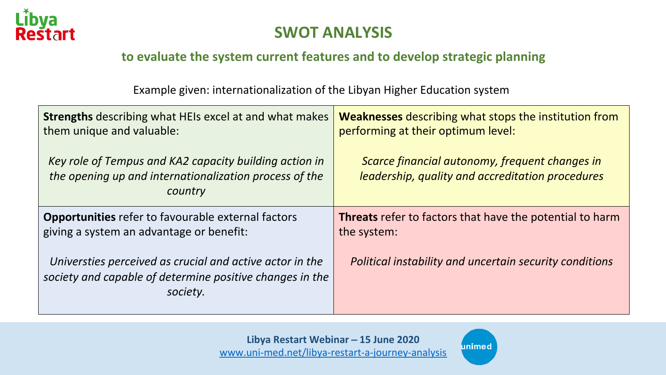

### **SWOT ANALYSIS**

### to evaluate the system current features and to develop strategic planning

Example given: internationalization of the Libyan Higher Education system

| <b>Strengths</b> describing what HEIs excel at and what makes                                                                    | <b>Weaknesses</b> describing what stops the institution from                                       |
|----------------------------------------------------------------------------------------------------------------------------------|----------------------------------------------------------------------------------------------------|
| them unique and valuable:                                                                                                        | performing at their optimum level:                                                                 |
| Key role of Tempus and KA2 capacity building action in<br>the opening up and internationalization process of the<br>country      | Scarce financial autonomy, frequent changes in<br>leadership, quality and accreditation procedures |
| <b>Opportunities</b> refer to favourable external factors                                                                        | <b>Threats</b> refer to factors that have the potential to harm                                    |
| giving a system an advantage or benefit:                                                                                         | the system:                                                                                        |
| Universties perceived as crucial and active actor in the<br>society and capable of determine positive changes in the<br>society. | Political instability and uncertain security conditions                                            |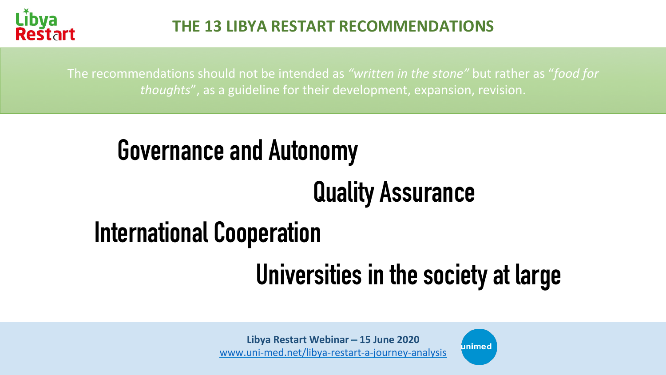

The recommendations should not be intended as "written in the stone" but rather as "food for *thoughts*", as a guideline for their development, expansion, revision.

## **Governance and Autonomy**

# **Quality Assurance**

# **International Cooperation**

# **Universities in the society at large**

unimed

Libya Restart Webinar - 15 June 2020 www.uni-med.net/libya-restart-a-journey-analysis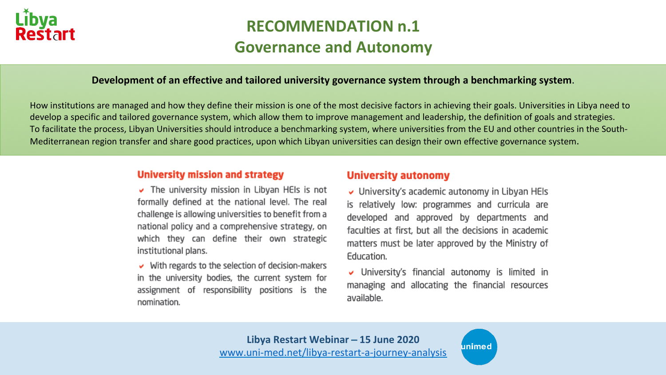

## **RECOMMENDATION n.1 Governance and Autonomy**

#### **Development of an effective and tailored university governance system through a benchmarking system.**

How institutions are managed and how they define their mission is one of the most decisive factors in achieving their goals. Universities in Libya need to develop a specific and tailored governance system, which allow them to improve management and leadership, the definition of goals and strategies. To facilitate the process, Libyan Universities should introduce a benchmarking system, where universities from the EU and other countries in the South-Mediterranean region transfer and share good practices, upon which Libyan universities can design their own effective governance system.

#### **University mission and strategy**

 $\triangleright$  The university mission in Libyan HEIs is not formally defined at the national level. The real challenge is allowing universities to benefit from a national policy and a comprehensive strategy, on which they can define their own strategic institutional plans.

 $\vee$  With regards to the selection of decision-makers in the university bodies, the current system for assignment of responsibility positions is the nomination.

#### **University autonomy**

 $\vee$  University's academic autonomy in Libyan HEIs is relatively low: programmes and curricula are developed and approved by departments and faculties at first, but all the decisions in academic matters must be later approved by the Ministry of Education.

University's financial autonomy is limited in managing and allocating the financial resources available.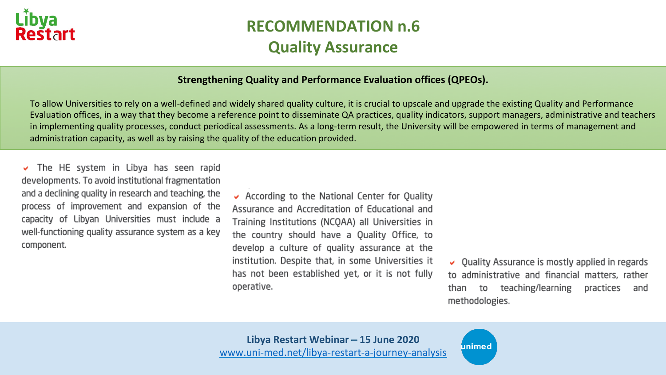

## **RECOMMENDATION n.6 Quality Assurance**

#### **Strengthening Quality and Performance Evaluation offices (QPEOs).**

To allow Universities to rely on a well-defined and widely shared quality culture, it is crucial to upscale and upgrade the existing Quality and Performance Evaluation offices, in a way that they become a reference point to disseminate QA practices, quality indicators, support managers, administrative and teachers in implementing quality processes, conduct periodical assessments. As a long-term result, the University will be empowered in terms of management and administration capacity, as well as by raising the quality of the education provided.

The HE system in Libya has seen rapid  $\checkmark$ developments. To avoid institutional fragmentation and a declining quality in research and teaching, the process of improvement and expansion of the capacity of Libyan Universities must include a well-functioning quality assurance system as a key component.

 $\vee$  According to the National Center for Quality Assurance and Accreditation of Educational and Training Institutions (NCQAA) all Universities in the country should have a Quality Office, to develop a culture of quality assurance at the institution. Despite that, in some Universities it has not been established yet, or it is not fully operative.

 $\vee$  Quality Assurance is mostly applied in regards to administrative and financial matters, rather than to teaching/learning practices and methodologies.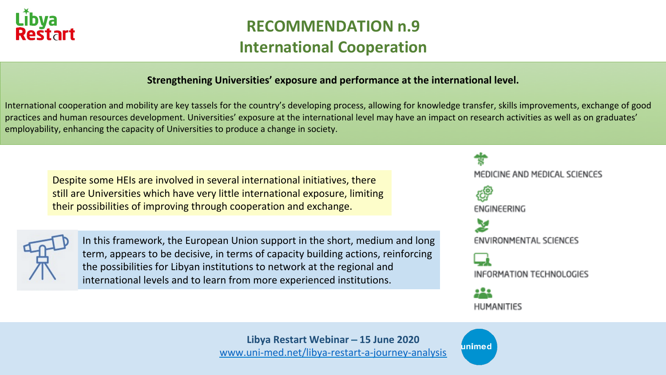

## **RECOMMENDATION n.9 International Cooperation**

#### **Strengthening Universities' exposure and performance at the international level.**

International cooperation and mobility are key tassels for the country's developing process, allowing for knowledge transfer, skills improvements, exchange of good practices and human resources development. Universities' exposure at the international level may have an impact on research activities as well as on graduates' employability, enhancing the capacity of Universities to produce a change in society.

Despite some HEIs are involved in several international initiatives, there still are Universities which have very little international exposure, limiting their possibilities of improving through cooperation and exchange.



In this framework, the European Union support in the short, medium and long term, appears to be decisive, in terms of capacity building actions, reinforcing the possibilities for Libyan institutions to network at the regional and international levels and to learn from more experienced institutions.



ınimec

Libya Restart Webinar – 15 June 2020 www.uni-med.net/libya-restart-a-journey-analysis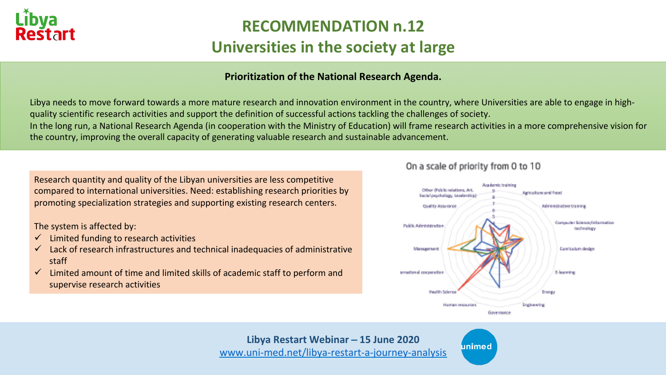

## **RECOMMENDATION n.12 Universities in the society at large**

### **Prioritization of the National Research Agenda.**

Libya needs to move forward towards a more mature research and innovation environment in the country, where Universities are able to engage in highquality scientific research activities and support the definition of successful actions tackling the challenges of society. In the long run, a National Research Agenda (in cooperation with the Ministry of Education) will frame research activities in a more comprehensive vision for the country, improving the overall capacity of generating valuable research and sustainable advancement.

Research quantity and quality of the Libyan universities are less competitive compared to international universities. Need: establishing research priorities by promoting specialization strategies and supporting existing research centers.

The system is affected by:

- $\checkmark$  Limited funding to research activities
- $\checkmark$  Lack of research infrastructures and technical inadequacies of administrative staff
- $\checkmark$  Limited amount of time and limited skills of academic staff to perform and supervise research activities

#### On a scale of priority from 0 to 10



Libya Restart Webinar – 15 June 2020 www.uni-med.net/libya-restart-a-journey-analysis

unimec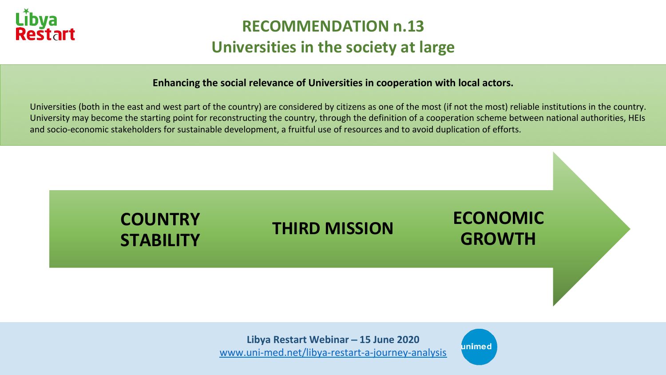

## **RECOMMENDATION n.13 Universities in the society at large**

#### **Enhancing the social relevance of Universities in cooperation with local actors.**

Universities (both in the east and west part of the country) are considered by citizens as one of the most (if not the most) reliable institutions in the country. University may become the starting point for reconstructing the country, through the definition of a cooperation scheme between national authorities, HEIs and socio-economic stakeholders for sustainable development, a fruitful use of resources and to avoid duplication of efforts.



www.uni-med.net/libya-restart-a-journey-analysis